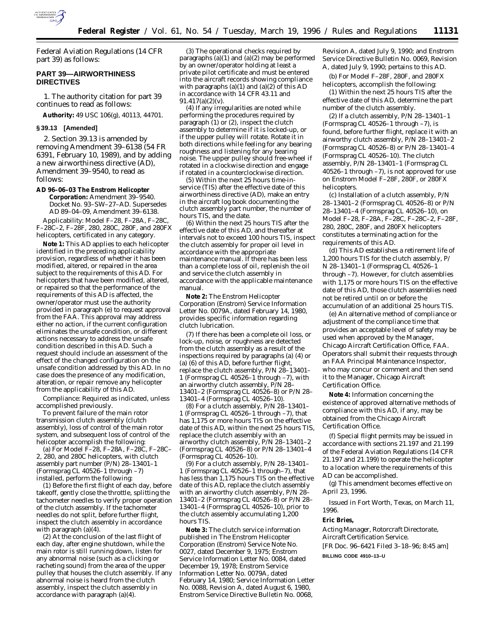

Federal Aviation Regulations (14 CFR part 39) as follows:

# **PART 39—AIRWORTHINESS DIRECTIVES**

1. The authority citation for part 39 continues to read as follows:

**Authority:** 49 USC 106(g), 40113, 44701.

# **§ 39.13 [Amended]**

2. Section 39.13 is amended by removing Amendment 39–6138 (54 FR 6391, February 10, 1989), and by adding a new airworthiness directive (AD), Amendment 39–9540, to read as follows:

**AD 96–06–03 The Enstrom Helicopter Corporation:** Amendment 39–9540. Docket No. 93–SW–27–AD. Supersedes AD 89–04–09, Amendment 39–6138.

*Applicability:* Model F–28, F–28A, F–28C, F–28C–2, F–28F, 280, 280C, 280F, and 280FX helicopters, certificated in any category.

**Note 1:** This AD applies to each helicopter identified in the preceding applicability provision, regardless of whether it has been modified, altered, or repaired in the area subject to the requirements of this AD. For helicopters that have been modified, altered, or repaired so that the performance of the requirements of this AD is affected, the owner/operator must use the authority provided in paragraph (e) to request approval from the FAA. This approval may address either no action, if the current configuration eliminates the unsafe condition, or different actions necessary to address the unsafe condition described in this AD. Such a request should include an assessment of the effect of the changed configuration on the unsafe condition addressed by this AD. In no case does the presence of any modification, alteration, or repair remove any helicopter from the applicability of this AD.

*Compliance:* Required as indicated, unless accomplished previously.

To prevent failure of the main rotor transmission clutch assembly (clutch assembly), loss of control of the main rotor system, and subsequent loss of control of the helicopter accomplish the following:

(a) For Model F–28, F–28A, F–28C, F–28C– 2, 280, and 280C helicopters, with clutch assembly part number (P/N) 28–13401–1 (Formsprag CL 40526–1 through –7) installed, perform the following:

(1) Before the first flight of each day, before takeoff, gently close the throttle, splitting the tachometer needles to verify proper operation of the clutch assembly. If the tachometer needles do not split, before further flight, inspect the clutch assembly in accordance with paragraph (a)(4).

(2) At the conclusion of the last flight of each day, after engine shutdown, while the main rotor is still running down, listen for any abnormal noise (such as a clicking or racheting sound) from the area of the upper pulley that houses the clutch assembly. If any abnormal noise is heard from the clutch assembly, inspect the clutch assembly in accordance with paragraph (a)(4).

(3) The operational checks required by paragraphs (a)(1) and (a)(2) may be performed by an owner/operator holding at least a private pilot certificate and must be entered into the aircraft records showing compliance with paragraphs  $(a)(1)$  and  $(a)(2)$  of this AD in accordance with 14 CFR 43.11 and 91.417(a)(2)(v).

(4) If any irregularities are noted while performing the procedures required by paragraph (1) or (2), inspect the clutch assembly to determine if it is locked-up, or if the upper pulley will rotate. Rotate it in both directions while feeling for any bearing roughness and listening for any bearing noise. The upper pulley should free-wheel if rotated in a clockwise direction and engage if rotated in a counterclockwise direction.

(5) Within the next 25 hours time-inservice (TIS) after the effective date of this airworthiness directive (AD), make an entry in the aircraft log book documenting the clutch assembly part number, the number of hours TIS, and the date.

(6) Within the next 25 hours TIS after the effective date of this AD, and thereafter at intervals not to exceed 100 hours TIS, inspect the clutch assembly for proper oil level in accordance with the appropriate maintenance manual. If there has been less than a complete loss of oil, replenish the oil and service the clutch assembly in accordance with the applicable maintenance manual.

**Note 2:** The Enstrom Helicopter Corporation (Enstrom) Service Information Letter No. 0079A, dated February 14, 1980, provides specific information regarding clutch lubrication.

(7) If there has been a complete oil loss, or lock-up, noise, or roughness are detected from the clutch assembly as a result of the inspections required by paragraphs (a) (4) or (a) (6) of this AD, before further flight, replace the clutch assembly, P/N 28–13401– 1 (Formsprag CL 40526–1 through –7), with an airworthy clutch assembly, P/N 28– 13401–2 (Formsprag CL 40526–8) or P/N 28– 13401–4 (Formsprag CL 40526–10).

(8) For a clutch assembly, P/N 28–13401– 1 (Formsprag CL 40526–1 through –7), that has 1,175 or more hours TIS on the effective date of this AD, within the next 25 hours TIS, replace the clutch assembly with an airworthy clutch assembly, P/N 28–13401–2 (Formsprag CL 40526–8) or P/N 28–13401–4 (Formsprag CL 40526–10).

(9) For a clutch assembly, P/N 28–13401– 1 (Formsprag CL 40526–1 through–7), that has less than 1,175 hours TIS on the effective date of this AD, replace the clutch assembly with an airworthy clutch assembly, P/N 28– 13401–2 (Formsprag CL 40526–8) or P/N 28– 13401–4 (Formsprag CL 40526–10), prior to the clutch assembly accumulating 1,200 hours TIS.

**Note 3:** The clutch service information published in The Enstrom Helicopter Corporation (Enstrom) Service Note No. 0027, dated December 9, 1975; Enstrom Service Information Letter No. 0084, dated December 19, 1978; Enstrom Service Information Letter No. 0079A, dated February 14, 1980; Service Information Letter No. 0088, Revision A, dated August 6, 1980, Enstrom Service Directive Bulletin No. 0068,

Revision A, dated July 9, 1990; and Enstrom Service Directive Bulletin No. 0069, Revision A, dated July 9, 1990; pertains to this AD.

(b) For Model F–28F, 280F, and 280FX helicopters, accomplish the following:

(1) Within the next 25 hours TIS after the effective date of this AD, determine the part number of the clutch assembly.

(2) If a clutch assembly, P/N 28–13401–1 (Formsprag CL 40526–1 through –7), is found, before further flight, replace it with an airworthy clutch assembly, P/N 28–13401–2 (Formsprag CL 40526–8) or P/N 28–13401–4 (Formsprag CL 40526–10). The clutch assembly, P/N 28–13401–1 (Formsprag CL 40526–1 through –7), is not approved for use on Enstrom Model F–28F, 280F, or 280FX helicopters.

(c) Installation of a clutch assembly, P/N 28–13401–2 (Formsprag CL 40526–8) or P/N 28–13401–4 (Formsprag CL 40526–10), on Model F–28, F–28A, F–28C, F–28C–2, F–28F, 280, 280C, 280F, and 280FX helicopters constitutes a terminating action for the requirements of this AD.

(d) This AD establishes a retirement life of 1,200 hours TIS for the clutch assembly, P/ N 28–13401–1 (Formsprag CL 40526–1 through –7). However, for clutch assemblies with 1,175 or more hours TIS on the effective date of this AD, those clutch assemblies need not be retired until on or before the accumulation of an additional 25 hours TIS.

(e) An alternative method of compliance or adjustment of the compliance time that provides an acceptable level of safety may be used when approved by the Manager, Chicago Aircraft Certification Office, FAA. Operators shall submit their requests through an FAA Principal Maintenance Inspector, who may concur or comment and then send it to the Manager, Chicago Aircraft Certification Office.

**Note 4:** Information concerning the existence of approved alternative methods of compliance with this AD, if any, may be obtained from the Chicago Aircraft Certification Office.

(f) Special flight permits may be issued in accordance with sections 21.197 and 21.199 of the Federal Aviation Regulations (14 CFR 21.197 and 21.199) to operate the helicopter to a location where the requirements of this AD can be accomplished.

(g) This amendment becomes effective on April 23, 1996.

Issued in Fort Worth, Texas, on March 11, 1996.

#### **Eric Bries,**

*Acting Manager, Rotorcraft Directorate, Aircraft Certification Service.* [FR Doc. 96–6421 Filed 3–18–96; 8:45 am]

**BILLING CODE 4910–13–U**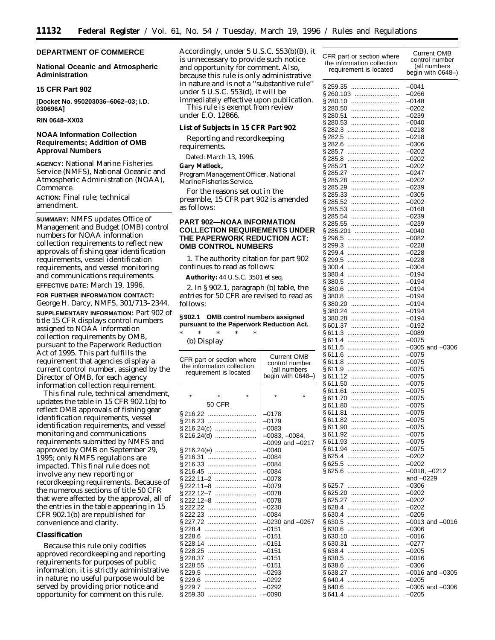# **DEPARTMENT OF COMMERCE**

# **National Oceanic and Atmospheric Administration**

# **15 CFR Part 902**

**[Docket No. 950203036–6062–03; I.D. 030696A]**

**RIN 0648–XX03**

# **NOAA Information Collection Requirements; Addition of OMB Approval Numbers**

**AGENCY:** National Marine Fisheries Service (NMFS), National Oceanic and Atmospheric Administration (NOAA), Commerce.

**ACTION:** Final rule; technical amendment.

**SUMMARY:** NMFS updates Office of Management and Budget (OMB) control numbers for NOAA information collection requirements to reflect new approvals of fishing gear identification requirements, vessel identification requirements, and vessel monitoring and communications requirements.

**EFFECTIVE DATE:** March 19, 1996.

**FOR FURTHER INFORMATION CONTACT:** George H. Darcy, NMFS, 301/713–2344. **SUPPLEMENTARY INFORMATION:** Part 902 of title 15 CFR displays control numbers assigned to NOAA information collection requirements by OMB, pursuant to the Paperwork Reduction Act of 1995. This part fulfills the requirement that agencies display a current control number, assigned by the Director of OMB, for each agency information collection requirement.

This final rule, technical amendment, updates the table in 15 CFR 902.1(b) to reflect OMB approvals of fishing gear identification requirements, vessel identification requirements, and vessel monitoring and communications requirements submitted by NMFS and approved by OMB on September 29, 1995; only NMFS regulations are impacted. This final rule does not involve any new reporting or recordkeeping requirements. Because of the numerous sections of title 50 CFR that were affected by the approval, all of the entries in the table appearing in 15 CFR 902.1(b) are republished for convenience and clarity.

#### **Classification**

Because this rule only codifies approved recordkeeping and reporting requirements for purposes of public information, it is strictly administrative in nature; no useful purpose would be served by providing prior notice and opportunity for comment on this rule.

Accordingly, under 5 U.S.C. 553(b)(B), it is unnecessary to provide such notice and opportunity for comment. Also, because this rule is only administrative in nature and is not a ''substantive rule'' under 5 U.S.C. 553(d), it will be immediately effective upon publication. This rule is exempt from review under E.O. 12866.

**List of Subjects in 15 CFR Part 902**

Reporting and recordkeeping requirements.

Dated: March 13, 1996.

**Gary Matlock,**

*Program Management Officer, National Marine Fisheries Service.*

For the reasons set out in the preamble, 15 CFR part 902 is amended as follows:

# **PART 902—NOAA INFORMATION COLLECTION REQUIREMENTS UNDER THE PAPERWORK REDUCTION ACT: OMB CONTROL NUMBERS**

1. The authority citation for part 902 continues to read as follows:

**Authority:** 44 U.S.C. 3501 *et seq.*

2. In § 902.1, paragraph (b) table, the entries for 50 CFR are revised to read as follows:

# **§ 902.1 OMB control numbers assigned pursuant to the Paperwork Reduction Act.**

\* \* \* \* \* (b) *Display*

| CFR part or section where<br>the information collection<br>requirement is located |                   |  | <b>Current OMB</b><br>control number<br>(all numbers<br>begin with 0648-) |                     |
|-----------------------------------------------------------------------------------|-------------------|--|---------------------------------------------------------------------------|---------------------|
|                                                                                   |                   |  |                                                                           |                     |
| $\star$                                                                           | $\star$           |  |                                                                           |                     |
|                                                                                   | <b>50 CFR</b>     |  |                                                                           |                     |
|                                                                                   | § 216.22          |  | $-0178$                                                                   |                     |
| \$216.23                                                                          |                   |  | $-0179$                                                                   |                     |
|                                                                                   |                   |  | $-0083$                                                                   |                     |
|                                                                                   | § 216.24(d)       |  | $-0083, -0084,$                                                           |                     |
|                                                                                   |                   |  |                                                                           | $-0099$ and $-0217$ |
|                                                                                   | § 216.24(e)       |  | $-0040$                                                                   |                     |
| § 216.31                                                                          |                   |  | $-0084$                                                                   |                     |
| § 216.33                                                                          |                   |  | $-0084$                                                                   |                     |
| §216.45                                                                           |                   |  | $-0084$                                                                   |                     |
|                                                                                   | §222.11–2         |  | $-0078$                                                                   |                     |
|                                                                                   | §222.11–8         |  | $-0079$                                                                   |                     |
|                                                                                   | §222.12−7         |  | $-0078$                                                                   |                     |
|                                                                                   | §222.12–8         |  | $-0078$                                                                   |                     |
|                                                                                   | § 222.22 …………………… |  | $-0230$                                                                   |                     |
|                                                                                   | §222.23           |  | $-0084$                                                                   |                     |
|                                                                                   | § 227.72          |  |                                                                           | $-0230$ and $-0267$ |
| § 228.4                                                                           |                   |  | $-0151$                                                                   |                     |
| § 228.6                                                                           |                   |  | $-0151$                                                                   |                     |
| \$228.14                                                                          |                   |  | $-0151$                                                                   |                     |
| §228.25                                                                           |                   |  | $-0151$                                                                   |                     |
| §228.37                                                                           |                   |  | $-0151$                                                                   |                     |
| §228.55                                                                           |                   |  | $-0151$                                                                   |                     |
| §229.5                                                                            |                   |  | $-0293$                                                                   |                     |
| §229.6                                                                            |                   |  | $-0292$                                                                   |                     |
| §229.7                                                                            |                   |  | $-0292$                                                                   |                     |
| §259.30                                                                           |                   |  | $-0090$                                                                   |                     |

| CFR part or section where<br>the information collection | <b>Current OMB</b><br>control number |
|---------------------------------------------------------|--------------------------------------|
| requirement is located                                  | (all numbers<br>begin with 0648-)    |
| § 259.35<br>                                            | $-0041$                              |
| §260.103                                                | -0266                                |
| § 280.10                                                | $-0148$                              |
| § 280.50<br>§ 280.51                                    | –0202<br>$-0239$                     |
| § 280.53                                                | –0040                                |
| § 282.3                                                 | $-0218$                              |
| § 282.5                                                 | –0218                                |
| § 282.6                                                 | $-0306$                              |
| §285.7                                                  | –0202                                |
| §285.8<br><br>§ 285.21                                  | $-0202$<br>–0202                     |
| §285.27                                                 | $-0247$                              |
| §285.28                                                 | –0202                                |
| §285.29                                                 | $-0239$                              |
| §285.33                                                 | –0305                                |
| §285.52                                                 | $-0202$                              |
| §285.53<br>§285.54                                      | -0168<br>$-0239$                     |
| §285.55                                                 | -0239                                |
| §285.201                                                | $-0040$                              |
| §296.5                                                  | -0082                                |
| §299.3<br>                                              | $-0228$                              |
| \$299.4                                                 | -0228                                |
| § 299.5<br><br>\$300.4                                  | $-0228$<br>-0304                     |
| §380.4                                                  | $-0194$                              |
| §380.5<br>                                              | –0194                                |
| \$380.6<br>                                             | $-0194$                              |
| §380.8<br>                                              | –0194                                |
| §380.20<br>                                             | $-0194$                              |
| §380.24<br>§380.28                                      | –0194<br>$-0194$                     |
| §601.37                                                 | –0192                                |
| §611.3<br>                                              | $-0089$                              |
| §611.4                                                  | –0075                                |
| §611.5<br>                                              | $-0305$ and $-0306$                  |
| §611.6<br>                                              | -0075                                |
| §611.8<br>§611.9<br>                                    | $-0075$<br>–0075                     |
| §611.12                                                 | $-0075$                              |
| §611.50                                                 | -0075                                |
| §611.61<br>                                             | $-0075$                              |
| §611.70                                                 | –0075                                |
| §611.80<br>§611.81                                      | $-0075$<br>-0075                     |
| §611.82                                                 | $-0075$                              |
| §611.90                                                 | -0075                                |
| §611.92                                                 | $-0075$                              |
| §611.93<br>                                             | –0075                                |
| §611.94                                                 | $-0075$                              |
| §625.5<br>                                              | –0202<br>$-0202$                     |
| §625.6                                                  | $-0018, -0212$                       |
|                                                         | and $-0229$                          |
| § 625.7                                                 | $-0306$                              |
| §625.20                                                 | $-0202$                              |
| §625.27<br>§628.4<br>                                   | –0202<br>$-0202$                     |
| §630.4                                                  | $-0205$                              |
| §630.5<br>                                              | $-0013$ and $-0016$                  |
| §630.6<br>                                              | –0306                                |
| §630.10                                                 | $-0016$                              |
| §630.31                                                 | –0277                                |
| §638.4<br><br>§638.5<br>                                | $-0205$<br>$-0016$                   |
| §638.6                                                  | $-0306$                              |
| §638.27                                                 | $-0016$ and $-0305$                  |
| §640.4<br>                                              | $-0205$                              |
| §640.6<br>                                              | –0305 and –0306                      |
| § 641.4<br>                                             | $-0205$                              |